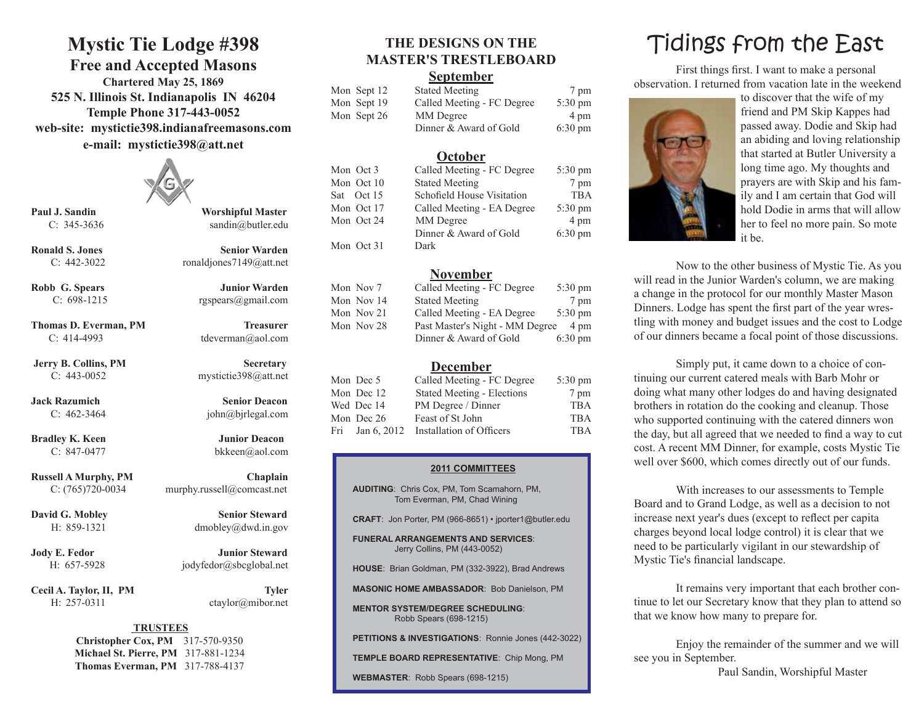## **Mystic Tie Lodge #398**

### **Free and Accepted Masons**

**Chartered May 25, 1869 525 N. Illinois St. Indianapolis IN 46204 Temple Phone 317-443-0052 web-site: mystictie398.indianafreemasons.com e-mail: mystictie398@att.net**



**Thomas D. Everman, PM Treasurer** C: 414-4993 tdeverman@aol.com

**Bradley K. Keen Junior Deacon** 

Cecil A. Taylor, II, PM Tyler H: 257-0311 ctaylor@mibor.net

**Paul J. Sandin Worshipful Master** C: 345-3636 sandin@butler.edu

**Ronald S. Jones Senior Warden** C:  $442-3022$  ronaldjones $7149@at$ .net

**Robb G. Spears Junior Warden** C: 698-1215 rgspears@gmail.com

**Jerry B. Collins, PM Secretary** C: 443-0052 mystictie398@att.net

**Jack Razumich Senior Deacon** C: 462-3464 john@bjrlegal.com

**Russell A Murphy, PM Chaplain** C: (765)720-0034 murphy.russell@comcast.net

H: 859-1321 dmobley@dwd.in.gov

**Jody E. Fedor Junior Steward** H: 657-5928 jodyfedor@sbcglobal.net

#### **TRUSTEES**

**Christopher Cox, PM** 317-570-9350 **Michael St. Pierre, PM** 317-881-1234 **Thomas Everman, PM** 317-788-4137

# **MASTER'S TRESTLEBOARD**

#### **September**

| Mon Sept 12 | <b>Stated Meeting</b>      | 7 pm              |
|-------------|----------------------------|-------------------|
| Mon Sept 19 | Called Meeting - FC Degree | $5:30 \text{ pm}$ |
| Mon Sept 26 | MM Degree                  | 4 pm              |
|             | Dinner & Award of Gold     | $6:30 \text{ pm}$ |

#### **October**

| Mon Oct 3  | Called Meeting - FC Degree | $5:30 \text{ pm}$ |
|------------|----------------------------|-------------------|
| Mon Oct 10 | <b>Stated Meeting</b>      | 7 pm              |
| Sat Oct 15 | Schofield House Visitation | <b>TBA</b>        |
| Mon Oct 17 | Called Meeting - EA Degree | $5:30 \text{ pm}$ |
| Mon Oct 24 | MM Degree                  | 4 pm              |
|            | Dinner & Award of Gold     | $6:30 \text{ pm}$ |
| Mon Oct 31 | Dark                       |                   |

#### **November**

| Mon Nov 7  | Called Meeting - FC Degree      | $5:30 \text{ pm}$ |
|------------|---------------------------------|-------------------|
| Mon Nov 14 | <b>Stated Meeting</b>           | 7 pm              |
| Mon Nov 21 | Called Meeting - EA Degree      | $5:30 \text{ pm}$ |
| Mon Nov 28 | Past Master's Night - MM Degree | 4 pm              |
|            | Dinner & Award of Gold          | $6:30 \text{ pm}$ |

#### **December**

| Mon Dec 5  | Called Meeting - FC Degree               | $5:30 \text{ pm}$ |
|------------|------------------------------------------|-------------------|
| Mon Dec 12 | <b>Stated Meeting - Elections</b>        | 7 pm              |
| Wed Dec 14 | PM Degree / Dinner                       | <b>TBA</b>        |
| Mon Dec 26 | Feast of St John                         | <b>TBA</b>        |
|            | Fri Jan 6, 2012 Installation of Officers | <b>TBA</b>        |

#### **2011 COMMITTEES**

**AUDITING**: Chris Cox, PM, Tom Scamahorn, PM, Tom Everman, PM, Chad Wining

**CRAFT**: Jon Porter, PM (966-8651) • jporter1@butler.edu

**FUNERAL ARRANGEMENTS AND SERVICES**: Jerry Collins, PM (443-0052)

**HOUSE**: Brian Goldman, PM (332-3922), Brad Andrews

**MASONIC HOME AMBASSADOR**: Bob Danielson, PM

**MENTOR SYSTEM/DEGREE SCHEDULING**: Robb Spears (698-1215)

**PETITIONS & INVESTIGATIONS**: Ronnie Jones (442-3022)

**TEMPLE BOARD REPRESENTATIVE**: Chip Mong, PM

**WEBMASTER**: Robb Spears (698-1215)

# THE DESIGNS ON THE **Tidings** from the East

First things first. I want to make a personal observation. I returned from vacation late in the weekend



to discover that the wife of my friend and PM Skip Kappes had passed away. Dodie and Skip had an abiding and loving relationship that started at Butler University a long time ago. My thoughts and prayers are with Skip and his family and I am certain that God will hold Dodie in arms that will allow her to feel no more pain. So mote it be.

Now to the other business of Mystic Tie. As you will read in the Junior Warden's column, we are making a change in the protocol for our monthly Master Mason Dinners. Lodge has spent the first part of the year wrestling with money and budget issues and the cost to Lodge of our dinners became a focal point of those discussions.

Simply put, it came down to a choice of continuing our current catered meals with Barb Mohr or doing what many other lodges do and having designated brothers in rotation do the cooking and cleanup. Those who supported continuing with the catered dinners won the day, but all agreed that we needed to find a way to cut cost. A recent MM Dinner, for example, costs Mystic Tie well over \$600, which comes directly out of our funds.

With increases to our assessments to Temple Board and to Grand Lodge, as well as a decision to not increase next year's dues (except to reflect per capita charges beyond local lodge control) it is clear that we need to be particularly vigilant in our stewardship of Mystic Tie's financial landscape.

It remains very important that each brother continue to let our Secretary know that they plan to attend so that we know how many to prepare for.

Enjoy the remainder of the summer and we will see you in September.

Paul Sandin, Worshipful Master

C: 847-0477 bkkeen@aol.com

**David G. Mobley Senior Steward**